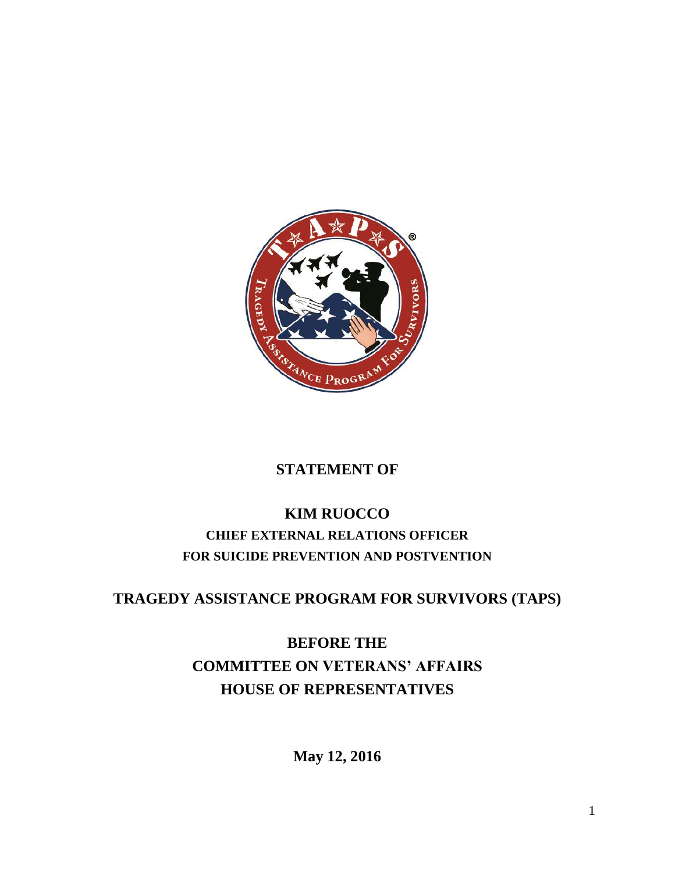

## **STATEMENT OF**

# **KIM RUOCCO CHIEF EXTERNAL RELATIONS OFFICER FOR SUICIDE PREVENTION AND POSTVENTION**

### **TRAGEDY ASSISTANCE PROGRAM FOR SURVIVORS (TAPS)**

# **BEFORE THE COMMITTEE ON VETERANS' AFFAIRS HOUSE OF REPRESENTATIVES**

**May 12, 2016**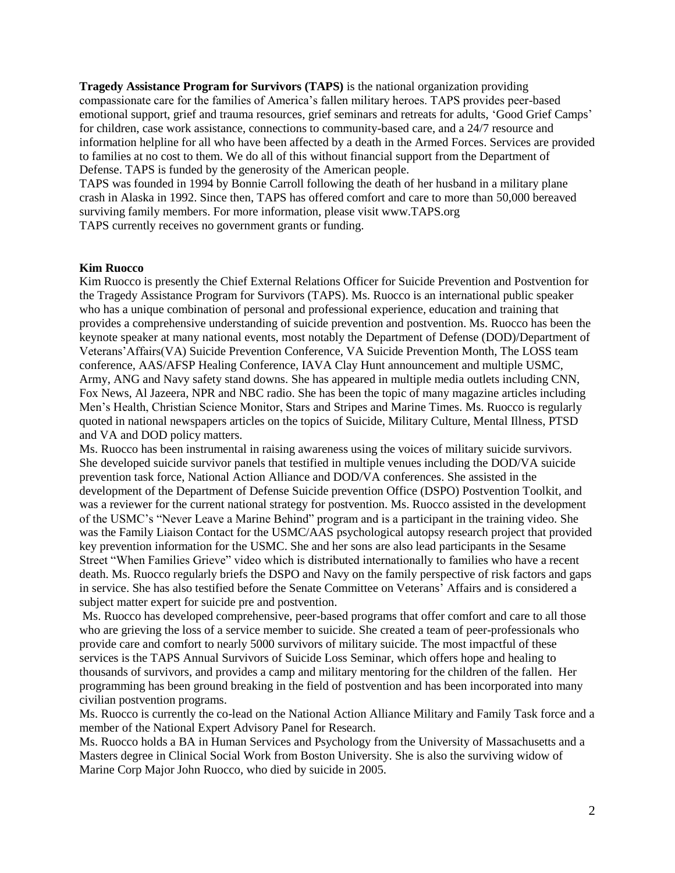**Tragedy Assistance Program for Survivors (TAPS)** is the national organization providing compassionate care for the families of America's fallen military heroes. TAPS provides peer-based emotional support, grief and trauma resources, grief seminars and retreats for adults, 'Good Grief Camps' for children, case work assistance, connections to community-based care, and a 24/7 resource and information helpline for all who have been affected by a death in the Armed Forces. Services are provided to families at no cost to them. We do all of this without financial support from the Department of Defense. TAPS is funded by the generosity of the American people.

TAPS was founded in 1994 by Bonnie Carroll following the death of her husband in a military plane crash in Alaska in 1992. Since then, TAPS has offered comfort and care to more than 50,000 bereaved surviving family members. For more information, please visit www.TAPS.org TAPS currently receives no government grants or funding.

#### **Kim Ruocco**

Kim Ruocco is presently the Chief External Relations Officer for Suicide Prevention and Postvention for the Tragedy Assistance Program for Survivors (TAPS). Ms. Ruocco is an international public speaker who has a unique combination of personal and professional experience, education and training that provides a comprehensive understanding of suicide prevention and postvention. Ms. Ruocco has been the keynote speaker at many national events, most notably the Department of Defense (DOD)/Department of Veterans'Affairs(VA) Suicide Prevention Conference, VA Suicide Prevention Month, The LOSS team conference, AAS/AFSP Healing Conference, IAVA Clay Hunt announcement and multiple USMC, Army, ANG and Navy safety stand downs. She has appeared in multiple media outlets including CNN, Fox News, Al Jazeera, NPR and NBC radio. She has been the topic of many magazine articles including Men's Health, Christian Science Monitor, Stars and Stripes and Marine Times. Ms. Ruocco is regularly quoted in national newspapers articles on the topics of Suicide, Military Culture, Mental Illness, PTSD and VA and DOD policy matters.

Ms. Ruocco has been instrumental in raising awareness using the voices of military suicide survivors. She developed suicide survivor panels that testified in multiple venues including the DOD/VA suicide prevention task force, National Action Alliance and DOD/VA conferences. She assisted in the development of the Department of Defense Suicide prevention Office (DSPO) Postvention Toolkit, and was a reviewer for the current national strategy for postvention. Ms. Ruocco assisted in the development of the USMC's "Never Leave a Marine Behind" program and is a participant in the training video. She was the Family Liaison Contact for the USMC/AAS psychological autopsy research project that provided key prevention information for the USMC. She and her sons are also lead participants in the Sesame Street "When Families Grieve" video which is distributed internationally to families who have a recent death. Ms. Ruocco regularly briefs the DSPO and Navy on the family perspective of risk factors and gaps in service. She has also testified before the Senate Committee on Veterans' Affairs and is considered a subject matter expert for suicide pre and postvention.

Ms. Ruocco has developed comprehensive, peer-based programs that offer comfort and care to all those who are grieving the loss of a service member to suicide. She created a team of peer-professionals who provide care and comfort to nearly 5000 survivors of military suicide. The most impactful of these services is the TAPS Annual Survivors of Suicide Loss Seminar, which offers hope and healing to thousands of survivors, and provides a camp and military mentoring for the children of the fallen. Her programming has been ground breaking in the field of postvention and has been incorporated into many civilian postvention programs.

Ms. Ruocco is currently the co-lead on the National Action Alliance Military and Family Task force and a member of the National Expert Advisory Panel for Research.

Ms. Ruocco holds a BA in Human Services and Psychology from the University of Massachusetts and a Masters degree in Clinical Social Work from Boston University. She is also the surviving widow of Marine Corp Major John Ruocco, who died by suicide in 2005.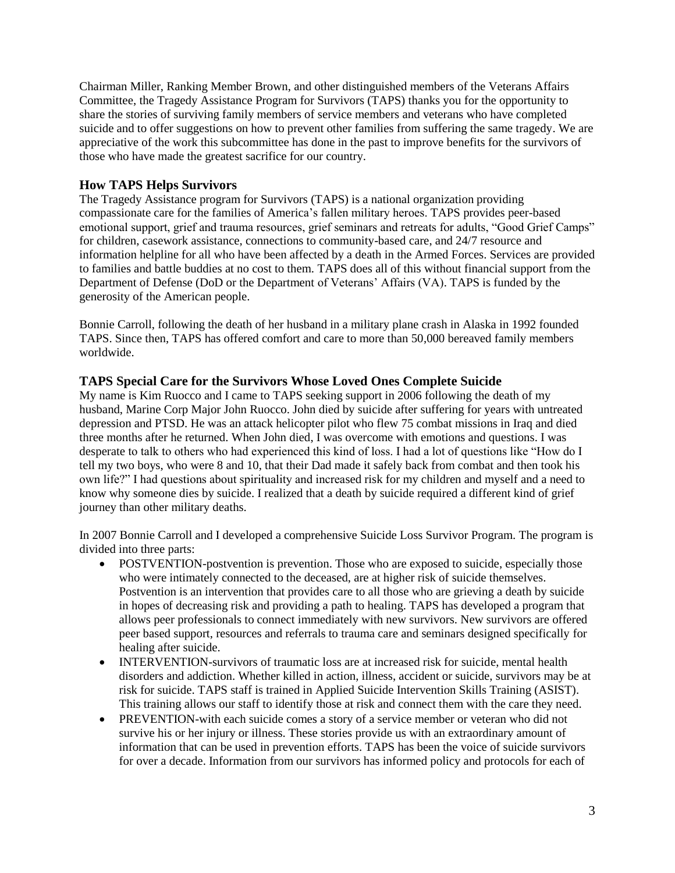Chairman Miller, Ranking Member Brown, and other distinguished members of the Veterans Affairs Committee, the Tragedy Assistance Program for Survivors (TAPS) thanks you for the opportunity to share the stories of surviving family members of service members and veterans who have completed suicide and to offer suggestions on how to prevent other families from suffering the same tragedy. We are appreciative of the work this subcommittee has done in the past to improve benefits for the survivors of those who have made the greatest sacrifice for our country.

### **How TAPS Helps Survivors**

The Tragedy Assistance program for Survivors (TAPS) is a national organization providing compassionate care for the families of America's fallen military heroes. TAPS provides peer-based emotional support, grief and trauma resources, grief seminars and retreats for adults, "Good Grief Camps" for children, casework assistance, connections to community-based care, and 24/7 resource and information helpline for all who have been affected by a death in the Armed Forces. Services are provided to families and battle buddies at no cost to them. TAPS does all of this without financial support from the Department of Defense (DoD or the Department of Veterans' Affairs (VA). TAPS is funded by the generosity of the American people.

Bonnie Carroll, following the death of her husband in a military plane crash in Alaska in 1992 founded TAPS. Since then, TAPS has offered comfort and care to more than 50,000 bereaved family members worldwide.

### **TAPS Special Care for the Survivors Whose Loved Ones Complete Suicide**

My name is Kim Ruocco and I came to TAPS seeking support in 2006 following the death of my husband, Marine Corp Major John Ruocco. John died by suicide after suffering for years with untreated depression and PTSD. He was an attack helicopter pilot who flew 75 combat missions in Iraq and died three months after he returned. When John died, I was overcome with emotions and questions. I was desperate to talk to others who had experienced this kind of loss. I had a lot of questions like "How do I tell my two boys, who were 8 and 10, that their Dad made it safely back from combat and then took his own life?" I had questions about spirituality and increased risk for my children and myself and a need to know why someone dies by suicide. I realized that a death by suicide required a different kind of grief journey than other military deaths.

In 2007 Bonnie Carroll and I developed a comprehensive Suicide Loss Survivor Program. The program is divided into three parts:

- POSTVENTION-postvention is prevention. Those who are exposed to suicide, especially those who were intimately connected to the deceased, are at higher risk of suicide themselves. Postvention is an intervention that provides care to all those who are grieving a death by suicide in hopes of decreasing risk and providing a path to healing. TAPS has developed a program that allows peer professionals to connect immediately with new survivors. New survivors are offered peer based support, resources and referrals to trauma care and seminars designed specifically for healing after suicide.
- INTERVENTION-survivors of traumatic loss are at increased risk for suicide, mental health disorders and addiction. Whether killed in action, illness, accident or suicide, survivors may be at risk for suicide. TAPS staff is trained in Applied Suicide Intervention Skills Training (ASIST). This training allows our staff to identify those at risk and connect them with the care they need.
- PREVENTION-with each suicide comes a story of a service member or veteran who did not survive his or her injury or illness. These stories provide us with an extraordinary amount of information that can be used in prevention efforts. TAPS has been the voice of suicide survivors for over a decade. Information from our survivors has informed policy and protocols for each of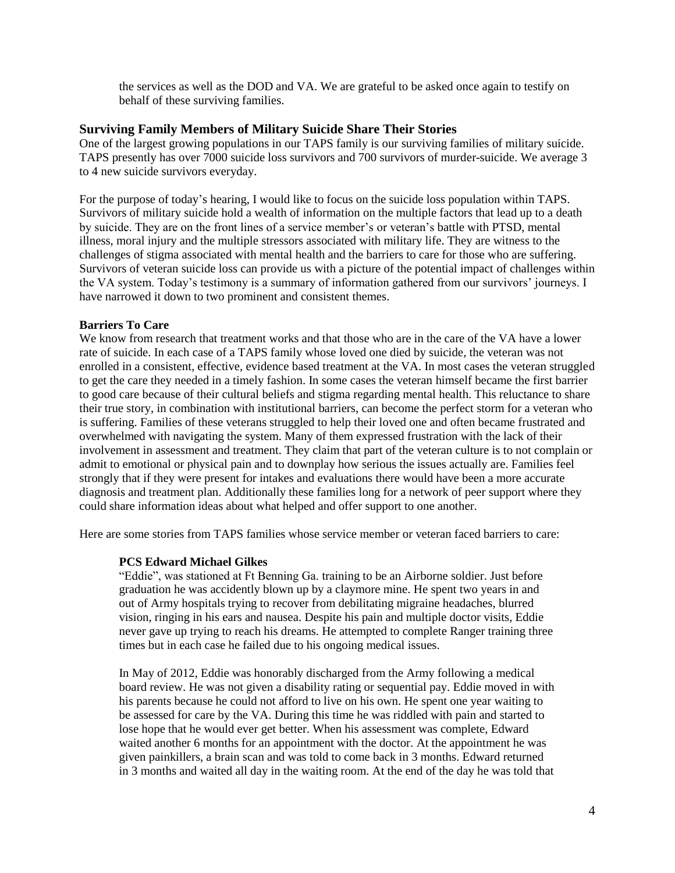the services as well as the DOD and VA. We are grateful to be asked once again to testify on behalf of these surviving families.

#### **Surviving Family Members of Military Suicide Share Their Stories**

One of the largest growing populations in our TAPS family is our surviving families of military suicide. TAPS presently has over 7000 suicide loss survivors and 700 survivors of murder-suicide. We average 3 to 4 new suicide survivors everyday.

For the purpose of today's hearing, I would like to focus on the suicide loss population within TAPS. Survivors of military suicide hold a wealth of information on the multiple factors that lead up to a death by suicide. They are on the front lines of a service member's or veteran's battle with PTSD, mental illness, moral injury and the multiple stressors associated with military life. They are witness to the challenges of stigma associated with mental health and the barriers to care for those who are suffering. Survivors of veteran suicide loss can provide us with a picture of the potential impact of challenges within the VA system. Today's testimony is a summary of information gathered from our survivors' journeys. I have narrowed it down to two prominent and consistent themes.

#### **Barriers To Care**

We know from research that treatment works and that those who are in the care of the VA have a lower rate of suicide. In each case of a TAPS family whose loved one died by suicide, the veteran was not enrolled in a consistent, effective, evidence based treatment at the VA. In most cases the veteran struggled to get the care they needed in a timely fashion. In some cases the veteran himself became the first barrier to good care because of their cultural beliefs and stigma regarding mental health. This reluctance to share their true story, in combination with institutional barriers, can become the perfect storm for a veteran who is suffering. Families of these veterans struggled to help their loved one and often became frustrated and overwhelmed with navigating the system. Many of them expressed frustration with the lack of their involvement in assessment and treatment. They claim that part of the veteran culture is to not complain or admit to emotional or physical pain and to downplay how serious the issues actually are. Families feel strongly that if they were present for intakes and evaluations there would have been a more accurate diagnosis and treatment plan. Additionally these families long for a network of peer support where they could share information ideas about what helped and offer support to one another.

Here are some stories from TAPS families whose service member or veteran faced barriers to care:

#### **PCS Edward Michael Gilkes**

"Eddie", was stationed at Ft Benning Ga. training to be an Airborne soldier. Just before graduation he was accidently blown up by a claymore mine. He spent two years in and out of Army hospitals trying to recover from debilitating migraine headaches, blurred vision, ringing in his ears and nausea. Despite his pain and multiple doctor visits, Eddie never gave up trying to reach his dreams. He attempted to complete Ranger training three times but in each case he failed due to his ongoing medical issues.

In May of 2012, Eddie was honorably discharged from the Army following a medical board review. He was not given a disability rating or sequential pay. Eddie moved in with his parents because he could not afford to live on his own. He spent one year waiting to be assessed for care by the VA. During this time he was riddled with pain and started to lose hope that he would ever get better. When his assessment was complete, Edward waited another 6 months for an appointment with the doctor. At the appointment he was given painkillers, a brain scan and was told to come back in 3 months. Edward returned in 3 months and waited all day in the waiting room. At the end of the day he was told that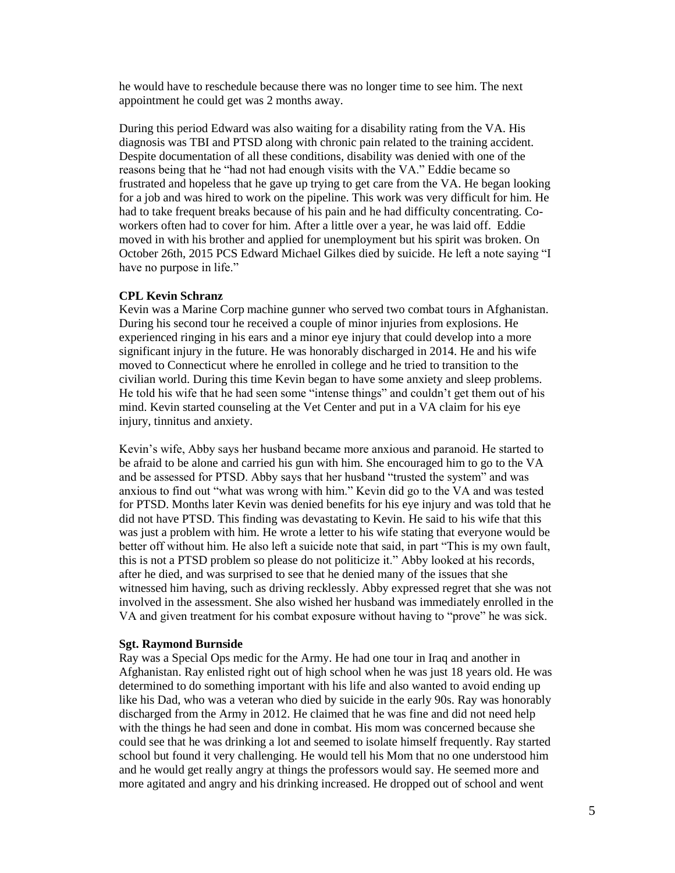he would have to reschedule because there was no longer time to see him. The next appointment he could get was 2 months away.

During this period Edward was also waiting for a disability rating from the VA. His diagnosis was TBI and PTSD along with chronic pain related to the training accident. Despite documentation of all these conditions, disability was denied with one of the reasons being that he "had not had enough visits with the VA." Eddie became so frustrated and hopeless that he gave up trying to get care from the VA. He began looking for a job and was hired to work on the pipeline. This work was very difficult for him. He had to take frequent breaks because of his pain and he had difficulty concentrating. Coworkers often had to cover for him. After a little over a year, he was laid off. Eddie moved in with his brother and applied for unemployment but his spirit was broken. On October 26th, 2015 PCS Edward Michael Gilkes died by suicide. He left a note saying "I have no purpose in life."

#### **CPL Kevin Schranz**

Kevin was a Marine Corp machine gunner who served two combat tours in Afghanistan. During his second tour he received a couple of minor injuries from explosions. He experienced ringing in his ears and a minor eye injury that could develop into a more significant injury in the future. He was honorably discharged in 2014. He and his wife moved to Connecticut where he enrolled in college and he tried to transition to the civilian world. During this time Kevin began to have some anxiety and sleep problems. He told his wife that he had seen some "intense things" and couldn't get them out of his mind. Kevin started counseling at the Vet Center and put in a VA claim for his eye injury, tinnitus and anxiety.

Kevin's wife, Abby says her husband became more anxious and paranoid. He started to be afraid to be alone and carried his gun with him. She encouraged him to go to the VA and be assessed for PTSD. Abby says that her husband "trusted the system" and was anxious to find out "what was wrong with him." Kevin did go to the VA and was tested for PTSD. Months later Kevin was denied benefits for his eye injury and was told that he did not have PTSD. This finding was devastating to Kevin. He said to his wife that this was just a problem with him. He wrote a letter to his wife stating that everyone would be better off without him. He also left a suicide note that said, in part "This is my own fault, this is not a PTSD problem so please do not politicize it." Abby looked at his records, after he died, and was surprised to see that he denied many of the issues that she witnessed him having, such as driving recklessly. Abby expressed regret that she was not involved in the assessment. She also wished her husband was immediately enrolled in the VA and given treatment for his combat exposure without having to "prove" he was sick.

#### **Sgt. Raymond Burnside**

Ray was a Special Ops medic for the Army. He had one tour in Iraq and another in Afghanistan. Ray enlisted right out of high school when he was just 18 years old. He was determined to do something important with his life and also wanted to avoid ending up like his Dad, who was a veteran who died by suicide in the early 90s. Ray was honorably discharged from the Army in 2012. He claimed that he was fine and did not need help with the things he had seen and done in combat. His mom was concerned because she could see that he was drinking a lot and seemed to isolate himself frequently. Ray started school but found it very challenging. He would tell his Mom that no one understood him and he would get really angry at things the professors would say. He seemed more and more agitated and angry and his drinking increased. He dropped out of school and went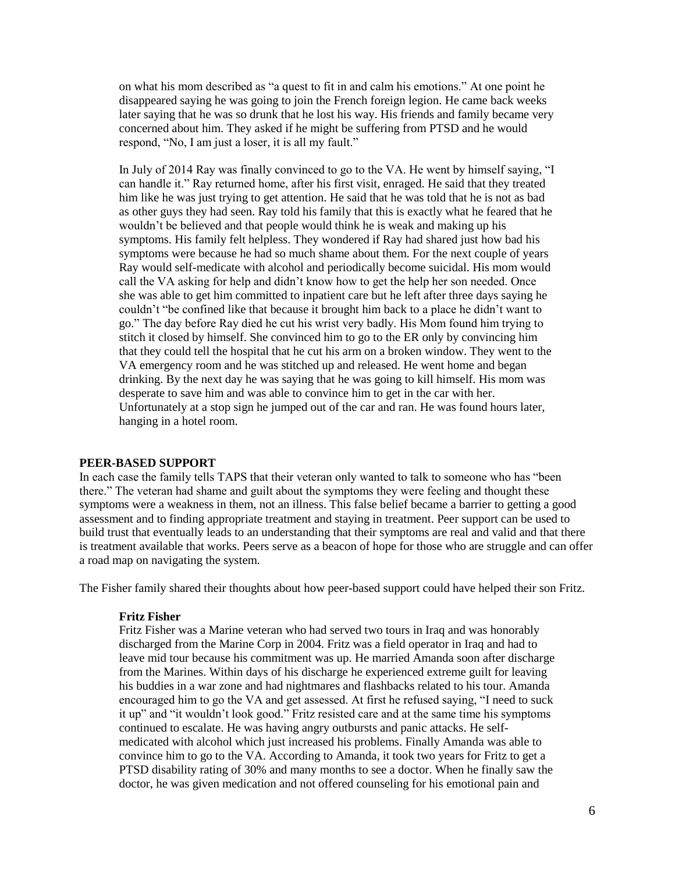on what his mom described as "a quest to fit in and calm his emotions." At one point he disappeared saying he was going to join the French foreign legion. He came back weeks later saying that he was so drunk that he lost his way. His friends and family became very concerned about him. They asked if he might be suffering from PTSD and he would respond, "No, I am just a loser, it is all my fault."

In July of 2014 Ray was finally convinced to go to the VA. He went by himself saying, "I can handle it." Ray returned home, after his first visit, enraged. He said that they treated him like he was just trying to get attention. He said that he was told that he is not as bad as other guys they had seen. Ray told his family that this is exactly what he feared that he wouldn't be believed and that people would think he is weak and making up his symptoms. His family felt helpless. They wondered if Ray had shared just how bad his symptoms were because he had so much shame about them. For the next couple of years Ray would self-medicate with alcohol and periodically become suicidal. His mom would call the VA asking for help and didn't know how to get the help her son needed. Once she was able to get him committed to inpatient care but he left after three days saying he couldn't "be confined like that because it brought him back to a place he didn't want to go." The day before Ray died he cut his wrist very badly. His Mom found him trying to stitch it closed by himself. She convinced him to go to the ER only by convincing him that they could tell the hospital that he cut his arm on a broken window. They went to the VA emergency room and he was stitched up and released. He went home and began drinking. By the next day he was saying that he was going to kill himself. His mom was desperate to save him and was able to convince him to get in the car with her. Unfortunately at a stop sign he jumped out of the car and ran. He was found hours later, hanging in a hotel room.

#### **PEER-BASED SUPPORT**

In each case the family tells TAPS that their veteran only wanted to talk to someone who has "been there." The veteran had shame and guilt about the symptoms they were feeling and thought these symptoms were a weakness in them, not an illness. This false belief became a barrier to getting a good assessment and to finding appropriate treatment and staying in treatment. Peer support can be used to build trust that eventually leads to an understanding that their symptoms are real and valid and that there is treatment available that works. Peers serve as a beacon of hope for those who are struggle and can offer a road map on navigating the system.

The Fisher family shared their thoughts about how peer-based support could have helped their son Fritz.

#### **Fritz Fisher**

Fritz Fisher was a Marine veteran who had served two tours in Iraq and was honorably discharged from the Marine Corp in 2004. Fritz was a field operator in Iraq and had to leave mid tour because his commitment was up. He married Amanda soon after discharge from the Marines. Within days of his discharge he experienced extreme guilt for leaving his buddies in a war zone and had nightmares and flashbacks related to his tour. Amanda encouraged him to go the VA and get assessed. At first he refused saying, "I need to suck it up" and "it wouldn't look good." Fritz resisted care and at the same time his symptoms continued to escalate. He was having angry outbursts and panic attacks. He selfmedicated with alcohol which just increased his problems. Finally Amanda was able to convince him to go to the VA. According to Amanda, it took two years for Fritz to get a PTSD disability rating of 30% and many months to see a doctor. When he finally saw the doctor, he was given medication and not offered counseling for his emotional pain and